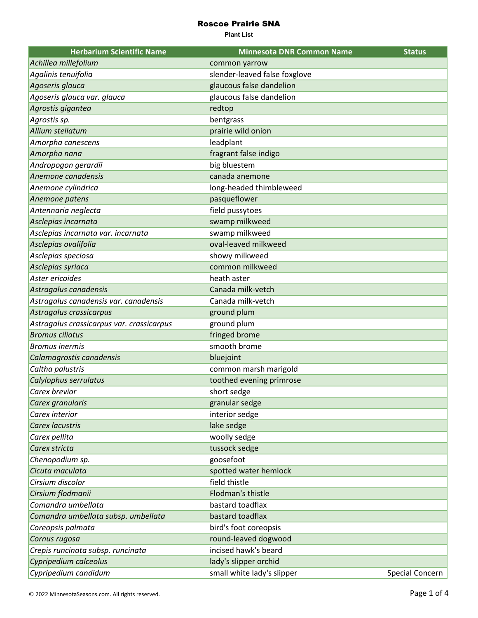**Plant List**

| <b>Herbarium Scientific Name</b>          | <b>Minnesota DNR Common Name</b> | <b>Status</b>   |
|-------------------------------------------|----------------------------------|-----------------|
| Achillea millefolium                      | common yarrow                    |                 |
| Agalinis tenuifolia                       | slender-leaved false foxglove    |                 |
| Agoseris glauca                           | glaucous false dandelion         |                 |
| Agoseris glauca var. glauca               | glaucous false dandelion         |                 |
| Agrostis gigantea                         | redtop                           |                 |
| Agrostis sp.                              | bentgrass                        |                 |
| Allium stellatum                          | prairie wild onion               |                 |
| Amorpha canescens                         | leadplant                        |                 |
| Amorpha nana                              | fragrant false indigo            |                 |
| Andropogon gerardii                       | big bluestem                     |                 |
| Anemone canadensis                        | canada anemone                   |                 |
| Anemone cylindrica                        | long-headed thimbleweed          |                 |
| Anemone patens                            | pasqueflower                     |                 |
| Antennaria neglecta                       | field pussytoes                  |                 |
| Asclepias incarnata                       | swamp milkweed                   |                 |
| Asclepias incarnata var. incarnata        | swamp milkweed                   |                 |
| Asclepias ovalifolia                      | oval-leaved milkweed             |                 |
| Asclepias speciosa                        | showy milkweed                   |                 |
| Asclepias syriaca                         | common milkweed                  |                 |
| Aster ericoides                           | heath aster                      |                 |
| Astragalus canadensis                     | Canada milk-vetch                |                 |
| Astragalus canadensis var. canadensis     | Canada milk-vetch                |                 |
| Astragalus crassicarpus                   | ground plum                      |                 |
| Astragalus crassicarpus var. crassicarpus | ground plum                      |                 |
| <b>Bromus ciliatus</b>                    | fringed brome                    |                 |
| <b>Bromus inermis</b>                     | smooth brome                     |                 |
| Calamagrostis canadensis                  | bluejoint                        |                 |
| Caltha palustris                          | common marsh marigold            |                 |
| Calylophus serrulatus                     | toothed evening primrose         |                 |
| Carex brevior                             | short sedge                      |                 |
| Carex granularis                          | granular sedge                   |                 |
| Carex interior                            | interior sedge                   |                 |
| Carex lacustris                           | lake sedge                       |                 |
| Carex pellita                             | woolly sedge                     |                 |
| Carex stricta                             | tussock sedge                    |                 |
| Chenopodium sp.                           | goosefoot                        |                 |
| Cicuta maculata                           | spotted water hemlock            |                 |
| Cirsium discolor                          | field thistle                    |                 |
| Cirsium flodmanii                         | Flodman's thistle                |                 |
| Comandra umbellata                        | bastard toadflax                 |                 |
| Comandra umbellata subsp. umbellata       | bastard toadflax                 |                 |
| Coreopsis palmata                         | bird's foot coreopsis            |                 |
| Cornus rugosa                             | round-leaved dogwood             |                 |
| Crepis runcinata subsp. runcinata         | incised hawk's beard             |                 |
| Cypripedium calceolus                     | lady's slipper orchid            |                 |
| Cypripedium candidum                      | small white lady's slipper       | Special Concern |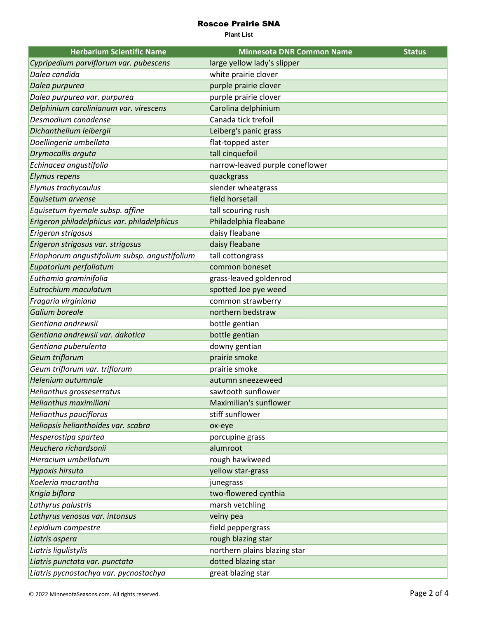**Plant List**

| <b>Herbarium Scientific Name</b>              | <b>Minnesota DNR Common Name</b> | <b>Status</b> |
|-----------------------------------------------|----------------------------------|---------------|
| Cypripedium parviflorum var. pubescens        | large yellow lady's slipper      |               |
| Dalea candida                                 | white prairie clover             |               |
| Dalea purpurea                                | purple prairie clover            |               |
| Dalea purpurea var. purpurea                  | purple prairie clover            |               |
| Delphinium carolinianum var. virescens        | Carolina delphinium              |               |
| Desmodium canadense                           | Canada tick trefoil              |               |
| Dichanthelium leibergii                       | Leiberg's panic grass            |               |
| Doellingeria umbellata                        | flat-topped aster                |               |
| Drymocallis arguta                            | tall cinquefoil                  |               |
| Echinacea angustifolia                        | narrow-leaved purple coneflower  |               |
| <b>Elymus repens</b>                          | quackgrass                       |               |
| Elymus trachycaulus                           | slender wheatgrass               |               |
| Equisetum arvense                             | field horsetail                  |               |
| Equisetum hyemale subsp. affine               | tall scouring rush               |               |
| Erigeron philadelphicus var. philadelphicus   | Philadelphia fleabane            |               |
| Erigeron strigosus                            | daisy fleabane                   |               |
| Erigeron strigosus var. strigosus             | daisy fleabane                   |               |
| Eriophorum angustifolium subsp. angustifolium | tall cottongrass                 |               |
| Eupatorium perfoliatum                        | common boneset                   |               |
| Euthamia graminifolia                         | grass-leaved goldenrod           |               |
| Eutrochium maculatum                          | spotted Joe pye weed             |               |
| Fragaria virginiana                           | common strawberry                |               |
| Galium boreale                                | northern bedstraw                |               |
| Gentiana andrewsii                            | bottle gentian                   |               |
| Gentiana andrewsii var. dakotica              | bottle gentian                   |               |
| Gentiana puberulenta                          | downy gentian                    |               |
| Geum triflorum                                | prairie smoke                    |               |
| Geum triflorum var. triflorum                 | prairie smoke                    |               |
| Helenium autumnale                            | autumn sneezeweed                |               |
| Helianthus grosseserratus                     | sawtooth sunflower               |               |
| Helianthus maximiliani                        | Maximilian's sunflower           |               |
| Helianthus pauciflorus                        | stiff sunflower                  |               |
| Heliopsis helianthoides var. scabra           | ox-eye                           |               |
| Hesperostipa spartea                          | porcupine grass                  |               |
| Heuchera richardsonii                         | alumroot                         |               |
| Hieracium umbellatum                          | rough hawkweed                   |               |
| Hypoxis hirsuta                               | yellow star-grass                |               |
| Koeleria macrantha                            | junegrass                        |               |
| Krigia biflora                                | two-flowered cynthia             |               |
| Lathyrus palustris                            | marsh vetchling                  |               |
| Lathyrus venosus var. intonsus                | veiny pea                        |               |
| Lepidium campestre                            | field peppergrass                |               |
| Liatris aspera                                | rough blazing star               |               |
| Liatris ligulistylis                          | northern plains blazing star     |               |
| Liatris punctata var. punctata                | dotted blazing star              |               |
| Liatris pycnostachya var. pycnostachya        | great blazing star               |               |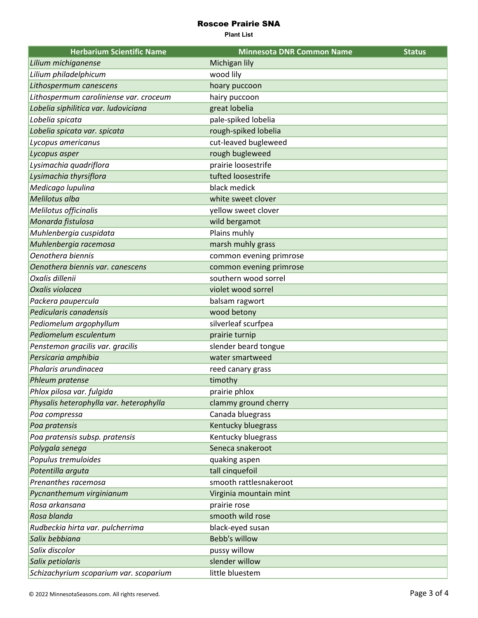**Plant List**

| <b>Herbarium Scientific Name</b>        | <b>Minnesota DNR Common Name</b> | <b>Status</b> |
|-----------------------------------------|----------------------------------|---------------|
| Lilium michiganense                     | Michigan lily                    |               |
| Lilium philadelphicum                   | wood lily                        |               |
| Lithospermum canescens                  | hoary puccoon                    |               |
| Lithospermum caroliniense var. croceum  | hairy puccoon                    |               |
| Lobelia siphilitica var. ludoviciana    | great lobelia                    |               |
| Lobelia spicata                         | pale-spiked lobelia              |               |
| Lobelia spicata var. spicata            | rough-spiked lobelia             |               |
| Lycopus americanus                      | cut-leaved bugleweed             |               |
| Lycopus asper                           | rough bugleweed                  |               |
| Lysimachia quadriflora                  | prairie loosestrife              |               |
| Lysimachia thyrsiflora                  | tufted loosestrife               |               |
| Medicago lupulina                       | black medick                     |               |
| Melilotus alba                          | white sweet clover               |               |
| Melilotus officinalis                   | yellow sweet clover              |               |
| Monarda fistulosa                       | wild bergamot                    |               |
| Muhlenbergia cuspidata                  | Plains muhly                     |               |
| Muhlenbergia racemosa                   | marsh muhly grass                |               |
| Oenothera biennis                       | common evening primrose          |               |
| Oenothera biennis var. canescens        | common evening primrose          |               |
| Oxalis dillenii                         | southern wood sorrel             |               |
| Oxalis violacea                         | violet wood sorrel               |               |
| Packera paupercula                      | balsam ragwort                   |               |
| Pedicularis canadensis                  | wood betony                      |               |
| Pediomelum argophyllum                  | silverleaf scurfpea              |               |
| Pediomelum esculentum                   | prairie turnip                   |               |
| Penstemon gracilis var. gracilis        | slender beard tongue             |               |
| Persicaria amphibia                     | water smartweed                  |               |
| Phalaris arundinacea                    | reed canary grass                |               |
| Phleum pratense                         | timothy                          |               |
| Phlox pilosa var. fulgida               | prairie phlox                    |               |
| Physalis heterophylla var. heterophylla | clammy ground cherry             |               |
| Poa compressa                           | Canada bluegrass                 |               |
| Poa pratensis                           | Kentucky bluegrass               |               |
| Poa pratensis subsp. pratensis          | Kentucky bluegrass               |               |
| Polygala senega                         | Seneca snakeroot                 |               |
| Populus tremuloides                     | quaking aspen                    |               |
| Potentilla arguta                       | tall cinquefoil                  |               |
| Prenanthes racemosa                     | smooth rattlesnakeroot           |               |
| Pycnanthemum virginianum                | Virginia mountain mint           |               |
| Rosa arkansana                          | prairie rose                     |               |
| Rosa blanda                             | smooth wild rose                 |               |
| Rudbeckia hirta var. pulcherrima        | black-eyed susan                 |               |
| Salix bebbiana                          | Bebb's willow                    |               |
| Salix discolor                          | pussy willow                     |               |
| Salix petiolaris                        | slender willow                   |               |
| Schizachyrium scoparium var. scoparium  | little bluestem                  |               |